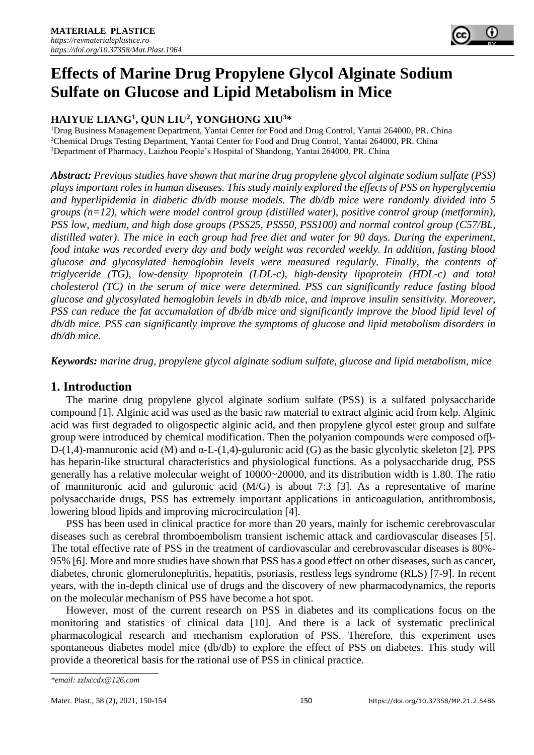

# **Effects of Marine Drug Propylene Glycol Alginate Sodium Sulfate on Glucose and Lipid Metabolism in Mice**

# **HAIYUE LIANG<sup>1</sup> , QUN LIU<sup>2</sup> , YONGHONG XIU<sup>3</sup>\***

<sup>1</sup>Drug Business Management Department, Yantai Center for Food and Drug Control, Yantai 264000, PR. China <sup>2</sup>Chemical Drugs Testing Department, Yantai Center for Food and Drug Control, Yantai 264000, PR. China <sup>3</sup>Department of Pharmacy, Laizhou People's Hospital of Shandong, Yantai 264000, PR. China

*Abstract: Previous studies have shown that marine drug propylene glycol alginate sodium sulfate (PSS) plays important roles in human diseases. This study mainly explored the effects of PSS on hyperglycemia and hyperlipidemia in diabetic db/db mouse models. The db/db mice were randomly divided into 5 groups (n=12), which were model control group (distilled water), positive control group (metformin), PSS low, medium, and high dose groups (PSS25, PSS50, PSS100) and normal control group (C57/BL, distilled water). The mice in each group had free diet and water for 90 days. During the experiment, food intake was recorded every day and body weight was recorded weekly. In addition, fasting blood glucose and glycosylated hemoglobin levels were measured regularly. Finally, the contents of triglyceride (TG), low-density lipoprotein (LDL-c), high-density lipoprotein (HDL-c) and total cholesterol (TC) in the serum of mice were determined. PSS can significantly reduce fasting blood glucose and glycosylated hemoglobin levels in db/db mice, and improve insulin sensitivity. Moreover, PSS can reduce the fat accumulation of db/db mice and significantly improve the blood lipid level of db/db mice. PSS can significantly improve the symptoms of glucose and lipid metabolism disorders in db/db mice.*

*Keywords: marine drug, propylene glycol alginate sodium sulfate, glucose and lipid metabolism, mice*

## **1. Introduction**

The marine drug propylene glycol alginate sodium sulfate (PSS) is a sulfated polysaccharide compound [1]. Alginic acid was used as the basic raw material to extract alginic acid from kelp. Alginic acid was first degraded to oligospectic alginic acid, and then propylene glycol ester group and sulfate group were introduced by chemical modification. Then the polyanion compounds were composed ofβ-D-(1,4)-mannuronic acid (M) and  $α$ -L-(1,4)-guluronic acid (G) as the basic glycolytic skeleton [2]. PPS has heparin-like structural characteristics and physiological functions. As a polysaccharide drug, PSS generally has a relative molecular weight of 10000~20000, and its distribution width is 1.80. The ratio of mannituronic acid and guluronic acid (M/G) is about 7:3 [3]. As a representative of marine polysaccharide drugs, PSS has extremely important applications in anticoagulation, antithrombosis, lowering blood lipids and improving microcirculation [4].

PSS has been used in clinical practice for more than 20 years, mainly for ischemic cerebrovascular diseases such as cerebral thromboembolism transient ischemic attack and cardiovascular diseases [5]. The total effective rate of PSS in the treatment of cardiovascular and cerebrovascular diseases is 80%- 95% [6]. More and more studies have shown that PSS has a good effect on other diseases, such as cancer, diabetes, chronic glomerulonephritis, hepatitis, psoriasis, restless legs syndrome (RLS) [7-9]. In recent years, with the in-depth clinical use of drugs and the discovery of new pharmacodynamics, the reports on the molecular mechanism of PSS have become a hot spot.

However, most of the current research on PSS in diabetes and its complications focus on the monitoring and statistics of clinical data [10]. And there is a lack of systematic preclinical pharmacological research and mechanism exploration of PSS. Therefore, this experiment uses spontaneous diabetes model mice (db/db) to explore the effect of PSS on diabetes. This study will provide a theoretical basis for the rational use of PSS in clinical practice.

*<sup>\*</sup>email: zzlxccdx@126.com*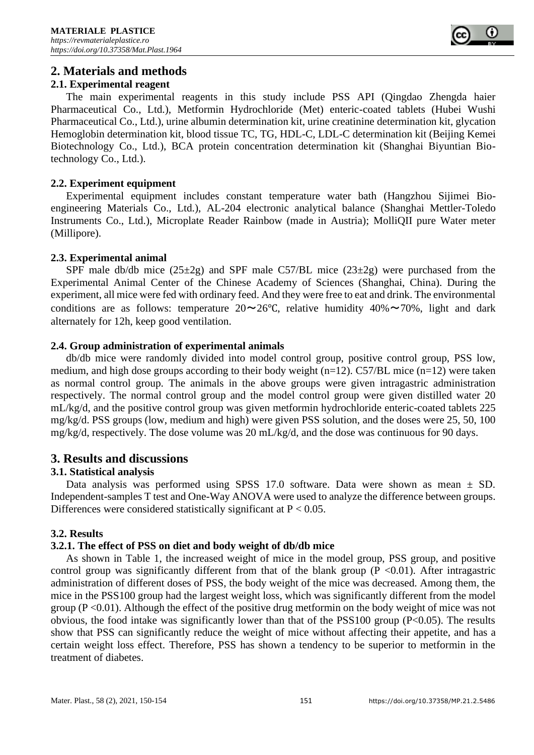

# **2. Materials and methods**

## **2.1. Experimental reagent**

The main experimental reagents in this study include PSS API (Qingdao Zhengda haier Pharmaceutical Co., Ltd.), Metformin Hydrochloride (Met) enteric-coated tablets (Hubei Wushi Pharmaceutical Co., Ltd.), urine albumin determination kit, urine creatinine determination kit, glycation Hemoglobin determination kit, blood tissue TC, TG, HDL-C, LDL-C determination kit (Beijing Kemei Biotechnology Co., Ltd.), BCA protein concentration determination kit (Shanghai Biyuntian Biotechnology Co., Ltd.).

#### **2.2. Experiment equipment**

Experimental equipment includes constant temperature water bath (Hangzhou Sijimei Bioengineering Materials Co., Ltd.), AL-204 electronic analytical balance (Shanghai Mettler-Toledo Instruments Co., Ltd.), Microplate Reader Rainbow (made in Austria); MolliQII pure Water meter (Millipore).

#### **2.3. Experimental animal**

SPF male db/db mice  $(25\pm 2g)$  and SPF male C57/BL mice  $(23\pm 2g)$  were purchased from the Experimental Animal Center of the Chinese Academy of Sciences (Shanghai, China). During the experiment, all mice were fed with ordinary feed. And they were free to eat and drink. The environmental conditions are as follows: temperature  $20 \sim 26$ °C, relative humidity  $40\% \sim 70\%$ , light and dark alternately for 12h, keep good ventilation.

#### **2.4. Group administration of experimental animals**

db/db mice were randomly divided into model control group, positive control group, PSS low, medium, and high dose groups according to their body weight ( $n=12$ ). C57/BL mice ( $n=12$ ) were taken as normal control group. The animals in the above groups were given intragastric administration respectively. The normal control group and the model control group were given distilled water 20 mL/kg/d, and the positive control group was given metformin hydrochloride enteric-coated tablets 225 mg/kg/d. PSS groups (low, medium and high) were given PSS solution, and the doses were 25, 50, 100 mg/kg/d, respectively. The dose volume was 20 mL/kg/d, and the dose was continuous for 90 days.

## **3. Results and discussions**

## **3.1. Statistical analysis**

Data analysis was performed using SPSS 17.0 software. Data were shown as mean  $\pm$  SD. Independent-samples T test and One-Way ANOVA were used to analyze the difference between groups. Differences were considered statistically significant at  $P < 0.05$ .

## **3.2. Results**

## **3.2.1. The effect of PSS on diet and body weight of db/db mice**

As shown in Table 1, the increased weight of mice in the model group, PSS group, and positive control group was significantly different from that of the blank group  $(P \le 0.01)$ . After intragastric administration of different doses of PSS, the body weight of the mice was decreased. Among them, the mice in the PSS100 group had the largest weight loss, which was significantly different from the model group ( $P < 0.01$ ). Although the effect of the positive drug metformin on the body weight of mice was not obvious, the food intake was significantly lower than that of the PSS100 group (P<0.05). The results show that PSS can significantly reduce the weight of mice without affecting their appetite, and has a certain weight loss effect. Therefore, PSS has shown a tendency to be superior to metformin in the treatment of diabetes.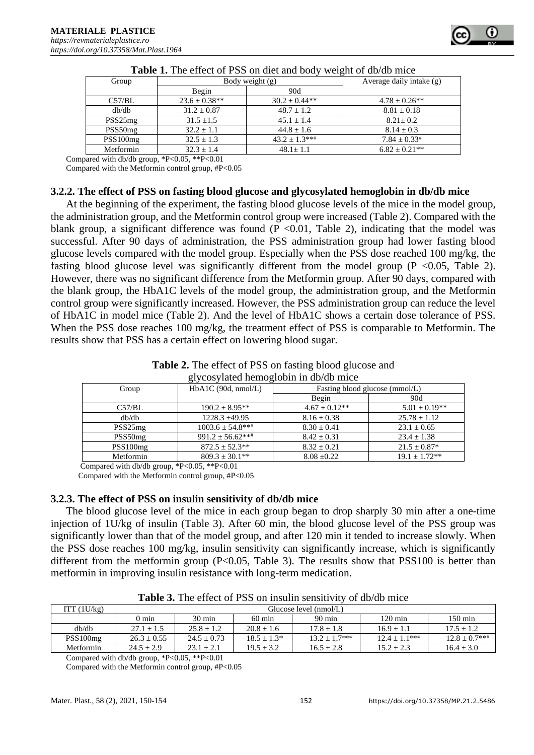| Group               | Body weight (g)   |                   | Average daily intake (g) |  |
|---------------------|-------------------|-------------------|--------------------------|--|
|                     | Begin             | 90d               |                          |  |
| C57/BL              | $23.6 \pm 0.38**$ | $30.2 \pm 0.44**$ | $4.78 \pm 0.26**$        |  |
| db/db               | $31.2 \pm 0.87$   | $48.7 + 1.2$      | $8.81 \pm 0.18$          |  |
| PSS25 <sub>mg</sub> | $31.5 + 1.5$      | $45.1 + 1.4$      | $8.21 + 0.2$             |  |
| PSS50 <sub>mg</sub> | $32.2 + 1.1$      | $44.8 + 1.6$      | $8.14 + 0.3$             |  |
| PSS100mg            | $32.5 \pm 1.3$    | $43.2 \pm 1.3***$ | $7.84 \pm 0.33$ #        |  |
| Metformin           | $32.3 \pm 1.4$    | $48.1 \pm 1.1$    | $6.82 + 0.21**$          |  |

Compared with db/db group, \*P<0.05, \*\*P<0.01

Compared with the Metformin control group, #P<0.05

#### **3.2.2. The effect of PSS on fasting blood glucose and glycosylated hemoglobin in db/db mice**

At the beginning of the experiment, the fasting blood glucose levels of the mice in the model group, the administration group, and the Metformin control group were increased (Table 2). Compared with the blank group, a significant difference was found ( $P < 0.01$ , Table 2), indicating that the model was successful. After 90 days of administration, the PSS administration group had lower fasting blood glucose levels compared with the model group. Especially when the PSS dose reached 100 mg/kg, the fasting blood glucose level was significantly different from the model group  $(P \le 0.05,$  Table 2). However, there was no significant difference from the Metformin group. After 90 days, compared with the blank group, the HbA1C levels of the model group, the administration group, and the Metformin control group were significantly increased. However, the PSS administration group can reduce the level of HbA1C in model mice (Table 2). And the level of HbA1C shows a certain dose tolerance of PSS. When the PSS dose reaches 100 mg/kg, the treatment effect of PSS is comparable to Metformin. The results show that PSS has a certain effect on lowering blood sugar.

| <b>Table 2.</b> The effect of PSS on fasting blood glucose and |
|----------------------------------------------------------------|
| glycosylated hemoglobin in db/db mice                          |

| Group               | $HbA1C$ (90d, nmol/L) | Fasting blood glucose (mmol/L) |                   |
|---------------------|-----------------------|--------------------------------|-------------------|
|                     |                       | Begin                          | 90d               |
| C57/BL              | $190.2 + 8.95**$      | $4.67 \pm 0.12**$              | $5.01 \pm 0.19**$ |
| db/db               | $1228.3 + 49.95$      | $8.16 \pm 0.38$                | $25.78 \pm 1.12$  |
| PSS25 <sub>mg</sub> | $1003.6 \pm 54.8$ *** | $8.30 \pm 0.41$                | $23.1 \pm 0.65$   |
| PSS50 <sub>mg</sub> | $991.2 \pm 56.62***$  | $8.42 \pm 0.31$                | $23.4 \pm 1.38$   |
| PSS100mg            | $872.5 \pm 52.3$ **   | $8.32 \pm 0.21$                | $21.5 \pm 0.87*$  |
| Metformin           | $809.3 \pm 30.1**$    | $8.08 \pm 0.22$                | $19.1 \pm 1.72**$ |

Compared with db/db group, \*P<0.05, \*\*P<0.01

Compared with the Metformin control group, #P<0.05

## **3.2.3. The effect of PSS on insulin sensitivity of db/db mice**

The blood glucose level of the mice in each group began to drop sharply 30 min after a one-time injection of 1U/kg of insulin (Table 3). After 60 min, the blood glucose level of the PSS group was significantly lower than that of the model group, and after 120 min it tended to increase slowly. When the PSS dose reaches 100 mg/kg, insulin sensitivity can significantly increase, which is significantly different from the metformin group  $(P<0.05$ , Table 3). The results show that PSS100 is better than metformin in improving insulin resistance with long-term medication.

| ITT $(1U/kg)$ | Glucose level $(mmol/L)$ |                  |                  |                  |                   |                   |
|---------------|--------------------------|------------------|------------------|------------------|-------------------|-------------------|
|               | $0 \text{ min}$          | $30 \text{ min}$ | $60 \text{ min}$ | $90 \text{ min}$ | $120 \text{ min}$ | $150 \text{ min}$ |
| dh/dh         | $27.1 + 1.5$             | $25.8 + 1.2$     | $20.8 + 1.6$     | $17.8 + 1.8$     | $16.9 + 1.1$      | $17.5 + 1.2$      |
| PSS100mg      | $26.3 + 0.55$            | $24.5 + 0.73$    | $18.5 + 1.3*$    | $13.2 + 1.7***$  | $12.4 + 1.1***$   | $12.8 + 0.7***$   |
| Metformin     | $24.5 + 2.9$             | $23.1 + 2.1$     | $19.5 + 3.2$     | $16.5 \pm 2.8$   | $15.2 + 2.3$      | $16.4 + 3.0$      |

**Table 3.** The effect of PSS on insulin sensitivity of db/db mice

Compared with db/db group, \*P<0.05, \*\*P<0.01

Compared with the Metformin control group, #P<0.05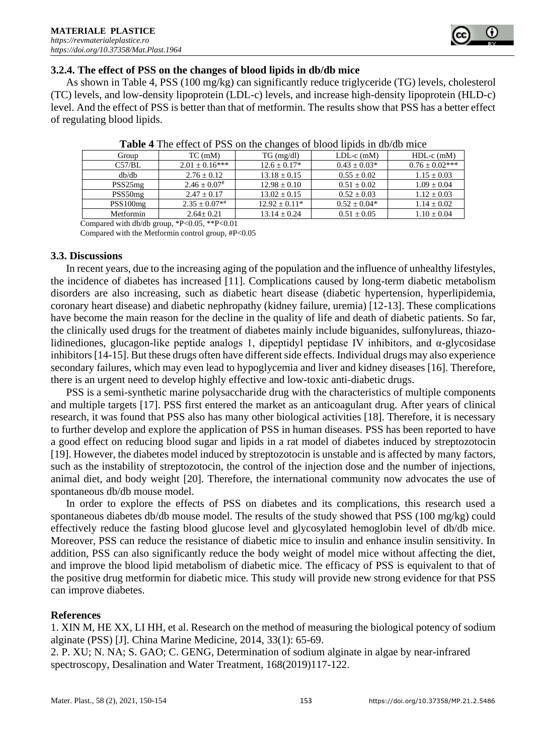

#### **3.2.4. The effect of PSS on the changes of blood lipids in db/db mice**

As shown in Table 4, PSS (100 mg/kg) can significantly reduce triglyceride (TG) levels, cholesterol (TC) levels, and low-density lipoprotein (LDL-c) levels, and increase high-density lipoprotein (HLD-c) level. And the effect of PSS is better than that of metformin. The results show that PSS has a better effect of regulating blood lipids.

| Group               | $TC$ (mM)            | $TG \, (mg/dl)$  | $LDL-c$ (mM)     | $HDL-c$ (mM)        |
|---------------------|----------------------|------------------|------------------|---------------------|
| C57/BL              | $2.01 \pm 0.16***$   | $12.6 \pm 0.17*$ | $0.43 \pm 0.03*$ | $0.76 \pm 0.02$ *** |
| dh/dh               | $2.76 + 0.12$        | $13.18 \pm 0.15$ | $0.55 + 0.02$    | $1.15 \pm 0.03$     |
| PSS25 <sub>mg</sub> | $2.46 \pm 0.07$ #    | $12.98 \pm 0.10$ | $0.51 + 0.02$    | $1.09 \pm 0.04$     |
| PSS50 <sub>mg</sub> | $2.47 + 0.17$        | $13.02 + 0.15$   | $0.52 + 0.03$    | $1.12 \pm 0.03$     |
| PSS100mg            | $2.35 \pm 0.07^{*+}$ | $12.92 + 0.11*$  | $0.52 + 0.04*$   | $1.14 \pm 0.02$     |
| Metformin           | $2.64 + 0.21$        | $13.14 + 0.24$   | $0.51 \pm 0.05$  | $1.10 \pm 0.04$     |
| .                   |                      |                  |                  |                     |

**Table 4** The effect of PSS on the changes of blood lipids in db/db mice

 Compared with db/db group, \*P<0.05, \*\*P<0.01 Compared with the Metformin control group, #P<0.05

#### **3.3. Discussions**

In recent years, due to the increasing aging of the population and the influence of unhealthy lifestyles, the incidence of diabetes has increased [11]. Complications caused by long-term diabetic metabolism disorders are also increasing, such as diabetic heart disease (diabetic hypertension, hyperlipidemia, coronary heart disease) and diabetic nephropathy (kidney failure, uremia) [12-13]. These complications have become the main reason for the decline in the quality of life and death of diabetic patients. So far, the clinically used drugs for the treatment of diabetes mainly include biguanides, sulfonylureas, thiazolidinediones, glucagon-like peptide analogs 1, dipeptidyl peptidase IV inhibitors, and  $\alpha$ -glycosidase inhibitors [14-15]. But these drugs often have different side effects. Individual drugs may also experience secondary failures, which may even lead to hypoglycemia and liver and kidney diseases [16]. Therefore, there is an urgent need to develop highly effective and low-toxic anti-diabetic drugs.

PSS is a semi-synthetic marine polysaccharide drug with the characteristics of multiple components and multiple targets [17]. PSS first entered the market as an anticoagulant drug. After years of clinical research, it was found that PSS also has many other biological activities [18]. Therefore, it is necessary to further develop and explore the application of PSS in human diseases. PSS has been reported to have a good effect on reducing blood sugar and lipids in a rat model of diabetes induced by streptozotocin [19]. However, the diabetes model induced by streptozotocin is unstable and is affected by many factors, such as the instability of streptozotocin, the control of the injection dose and the number of injections, animal diet, and body weight [20]. Therefore, the international community now advocates the use of spontaneous db/db mouse model.

In order to explore the effects of PSS on diabetes and its complications, this research used a spontaneous diabetes db/db mouse model. The results of the study showed that PSS (100 mg/kg) could effectively reduce the fasting blood glucose level and glycosylated hemoglobin level of db/db mice. Moreover, PSS can reduce the resistance of diabetic mice to insulin and enhance insulin sensitivity. In addition, PSS can also significantly reduce the body weight of model mice without affecting the diet, and improve the blood lipid metabolism of diabetic mice. The efficacy of PSS is equivalent to that of the positive drug metformin for diabetic mice. This study will provide new strong evidence for that PSS can improve diabetes.

#### **References**

1. XIN M, HE XX, LI HH, et al. Research on the method of measuring the biological potency of sodium alginate (PSS) [J]. China Marine Medicine, 2014, 33(1): 65-69.

2. P. XU; N. NA; S. GAO; C. GENG, Determination of sodium alginate in algae by near-infrared spectroscopy, Desalination and Water Treatment, 168(2019)117-122.